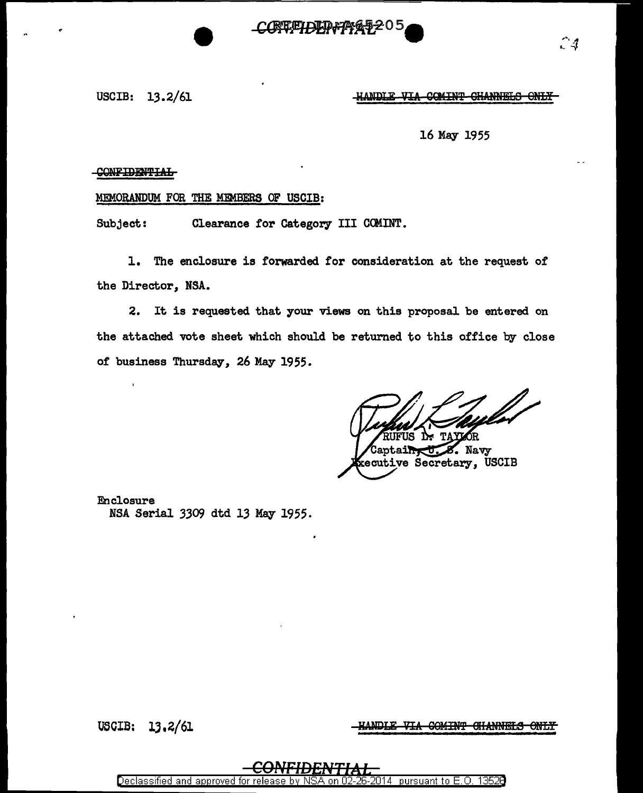## USCIB:  $13.2/61$   $\qquad \qquad$   $\qquad \qquad$   $\qquad$   $\qquad \qquad$   $\qquad \qquad$   $\qquad \qquad$   $\qquad \qquad$   $\qquad \qquad$   $\qquad \qquad$   $\qquad \qquad$   $\qquad \qquad$   $\qquad \qquad$   $\qquad \qquad$   $\qquad \qquad$   $\qquad \qquad$   $\qquad \qquad$   $\qquad \qquad$   $\qquad \qquad$   $\qquad \qquad$   $\qquad \qquad$   $\qquad \qquad$   $\qquad \qquad$   $\qquad \qquad$

 $\sim$  1. ·- *.:y* 

### 16 May 1955

### CONFIDENTIAL

# MEMORANDUM FOR THE MEMBERS OF USCIB:

Subject: Clearance for Category III COMINT.

1. The enclosure is forwarded for consideration at the request of the Director, NSA.

**CREEPDED-77%** 

2. It is requested that your views on this proposal be entered on the attached vote sheet which should be returned to this office by close or business Thursday, 26 May 1955.

Navy ecutive Secretary, USCIB

Enclosure NSA Serial 3309 dtd 13 May 1955.

USOIB: lJ,2/61

ANDLE VIA COMINT CHANNELS ONLY

Declassified and approved tor rele 2014 | pursuant to E.O. 13526